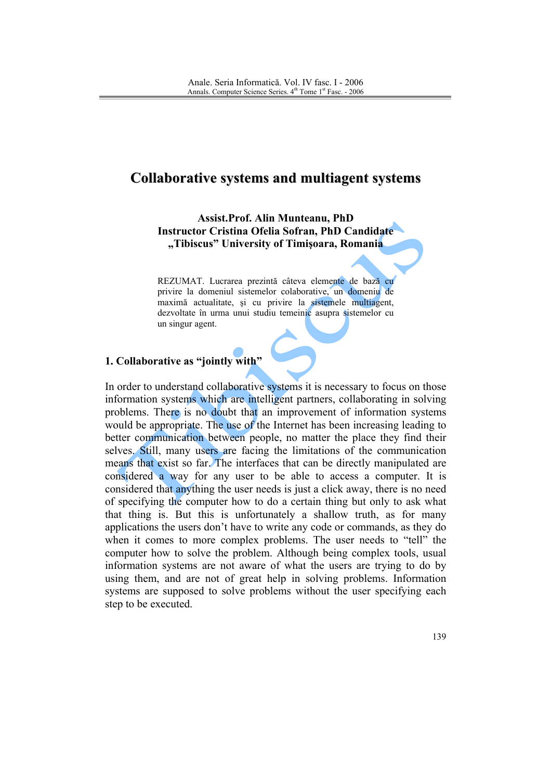## **Collaborative systems and multiagent systems**

**Assist.Prof. Alin Munteanu. PhD Instructor Cristina Ofelia Sofran, PhD Candidate** "Tibiscus" University of Timisoara, Romania

REZUMAT. Lucrarea prezintă câteva elemente de bază cu privire la domeniul sistemelor colaborative, un domeniu de maximă actualitate, și cu privire la sistemele multiagent, dezvoltate în urma unui studiu temeinic asupra sistemelor cu un singur agent.

## 1. Collaborative as "jointly with"

In order to understand collaborative systems it is necessary to focus on those information systems which are intelligent partners, collaborating in solving problems. There is no doubt that an improvement of information systems would be appropriate. The use of the Internet has been increasing leading to better communication between people, no matter the place they find their selves. Still, many users are facing the limitations of the communication means that exist so far. The interfaces that can be directly manipulated are considered a way for any user to be able to access a computer. It is considered that anything the user needs is just a click away, there is no need of specifying the computer how to do a certain thing but only to ask what that thing is. But this is unfortunately a shallow truth, as for many applications the users don't have to write any code or commands, as they do when it comes to more complex problems. The user needs to "tell" the computer how to solve the problem. Although being complex tools, usual information systems are not aware of what the users are trying to do by using them, and are not of great help in solving problems. Information systems are supposed to solve problems without the user specifying each step to be executed.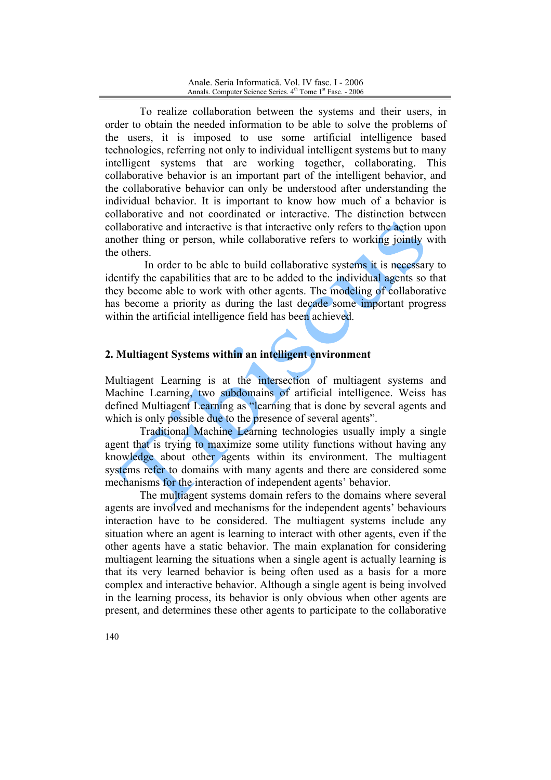To realize collaboration between the systems and their users, in order to obtain the needed information to be able to solve the problems of the users, it is imposed to use some artificial intelligence based technologies, referring not only to individual intelligent systems but to many intelligent systems that are working together, collaborating. This collaborative behavior is an important part of the intelligent behavior, and the collaborative behavior can only be understood after understanding the individual behavior. It is important to know how much of a behavior is collaborative and not coordinated or interactive. The distinction between collaborative and interactive is that interactive only refers to the action upon another thing or person, while collaborative refers to working jointly with the others

In order to be able to build collaborative systems it is necessary to identify the capabilities that are to be added to the individual agents so that they become able to work with other agents. The modeling of collaborative has become a priority as during the last decade some important progress within the artificial intelligence field has been achieved.

## 2. Multiagent Systems within an intelligent environment

Multiagent Learning is at the intersection of multiagent systems and Machine Learning, two subdomains of artificial intelligence. Weiss has defined Multiagent Learning as "learning that is done by several agents and which is only possible due to the presence of several agents".

Traditional Machine Learning technologies usually imply a single agent that is trying to maximize some utility functions without having any knowledge about other agents within its environment. The multiagent systems refer to domains with many agents and there are considered some mechanisms for the interaction of independent agents' behavior.

The multiagent systems domain refers to the domains where several agents are involved and mechanisms for the independent agents' behaviours interaction have to be considered. The multiagent systems include any situation where an agent is learning to interact with other agents, even if the other agents have a static behavior. The main explanation for considering multiagent learning the situations when a single agent is actually learning is that its very learned behavior is being often used as a basis for a more complex and interactive behavior. Although a single agent is being involved in the learning process, its behavior is only obvious when other agents are present, and determines these other agents to participate to the collaborative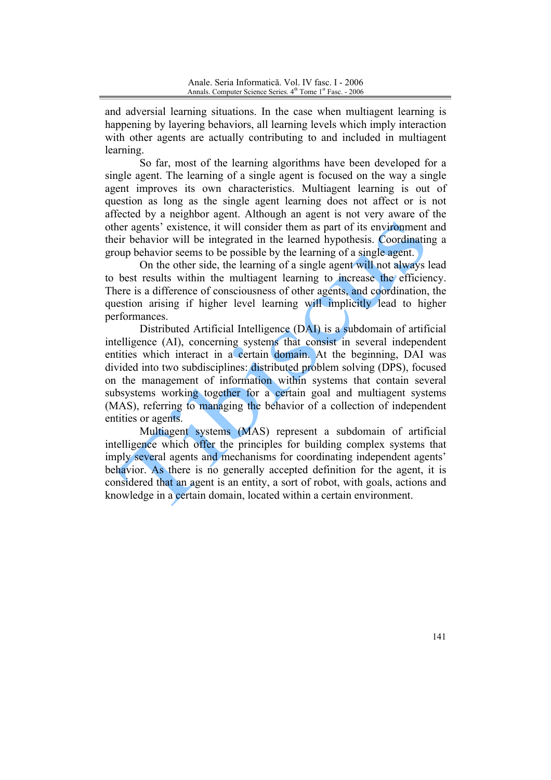and adversial learning situations. In the case when multiagent learning is happening by layering behaviors, all learning levels which imply interaction with other agents are actually contributing to and included in multiagent learning.

So far, most of the learning algorithms have been developed for a single agent. The learning of a single agent is focused on the way a single agent improves its own characteristics. Multiagent learning is out of question as long as the single agent learning does not affect or is not affected by a neighbor agent. Although an agent is not very aware of the other agents' existence, it will consider them as part of its environment and their behavior will be integrated in the learned hypothesis. Coordinating a group behavior seems to be possible by the learning of a single agent.

On the other side, the learning of a single agent will not always lead to best results within the multiagent learning to increase the efficiency. There is a difference of consciousness of other agents, and coordination, the question arising if higher level learning will implicitly lead to higher performances.

Distributed Artificial Intelligence (DAI) is a subdomain of artificial intelligence (AI), concerning systems that consist in several independent entities which interact in a certain domain. At the beginning, DAI was divided into two subdisciplines: distributed problem solving (DPS), focused on the management of information within systems that contain several subsystems working together for a certain goal and multiagent systems (MAS), referring to managing the behavior of a collection of independent entities or agents.

Multiagent systems (MAS) represent a subdomain of artificial intelligence which offer the principles for building complex systems that imply several agents and mechanisms for coordinating independent agents' behavior. As there is no generally accepted definition for the agent, it is considered that an agent is an entity, a sort of robot, with goals, actions and knowledge in a certain domain, located within a certain environment.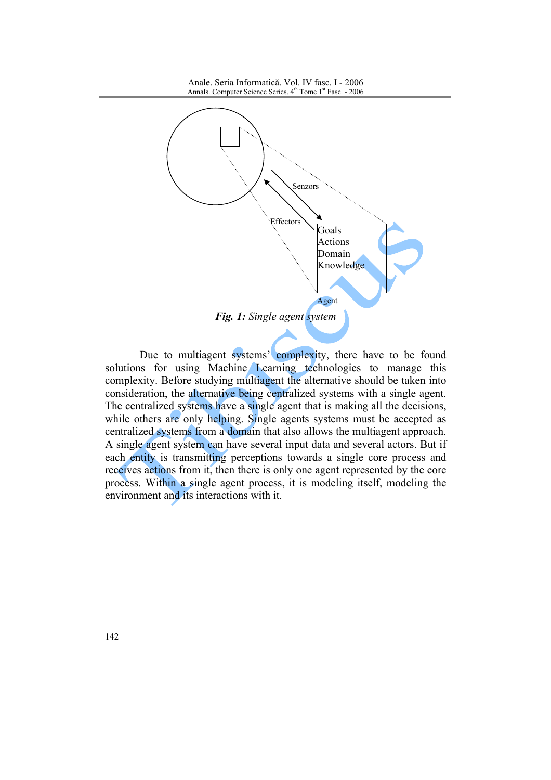

Due to multiagent systems' complexity, there have to be found solutions for using Machine Learning technologies to manage this complexity. Before studying multiagent the alternative should be taken into consideration, the alternative being centralized systems with a single agent. The centralized systems have a single agent that is making all the decisions, while others are only helping. Single agents systems must be accepted as centralized systems from a domain that also allows the multiagent approach. A single agent system can have several input data and several actors. But if each entity is transmitting perceptions towards a single core process and receives actions from it, then there is only one agent represented by the core process. Within a single agent process, it is modeling itself, modeling the environment and its interactions with it.